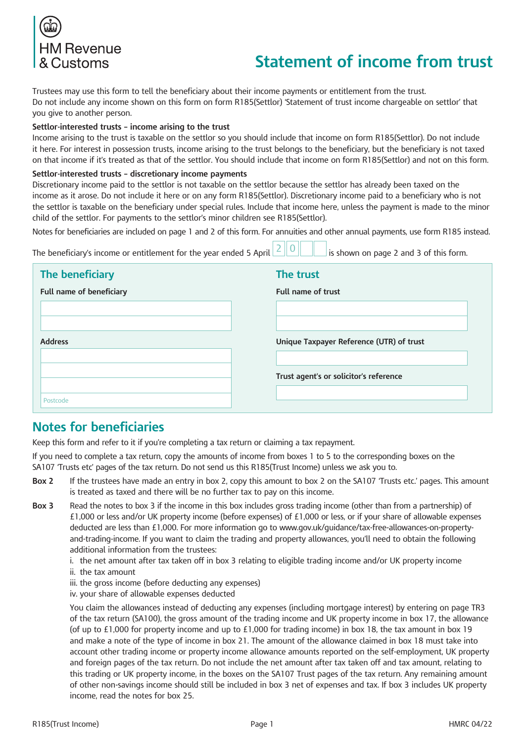

# **Statement of income from trust**

Trustees may use this form to tell the beneficiary about their income payments or entitlement from the trust. Do not include any income shown on this form on form R185(Settlor) 'Statement of trust income chargeable on settlor' that you give to another person.

#### **Settlor-interested trusts – income arising to the trust**

Income arising to the trust is taxable on the settlor so you should include that income on form R185(Settlor). Do not include it here. For interest in possession trusts, income arising to the trust belongs to the beneficiary, but the beneficiary is not taxed on that income if it's treated as that of the settlor. You should include that income on form R185(Settlor) and not on this form.

#### **Settlor-interested trusts – discretionary income payments**

Discretionary income paid to the settlor is not taxable on the settlor because the settlor has already been taxed on the income as it arose. Do not include it here or on any form R185(Settlor). Discretionary income paid to a beneficiary who is not the settlor is taxable on the beneficiary under special rules. Include that income here, unless the payment is made to the minor child of the settlor. For payments to the settlor's minor children see R185(Settlor).

Notes for beneficiaries are included on page 1 and 2 of this form. For annuities and other annual payments, use form R185 instead.

The beneficiary's income or entitlement for the year ended 5 April  $\lfloor 2 \rfloor \lfloor 0 \rfloor$  is shown on page 2 and 3 of this form.

| The beneficiary          | The trust                                |  |
|--------------------------|------------------------------------------|--|
| Full name of beneficiary | Full name of trust                       |  |
|                          |                                          |  |
|                          |                                          |  |
| <b>Address</b>           | Unique Taxpayer Reference (UTR) of trust |  |
|                          |                                          |  |
|                          | Trust agent's or solicitor's reference   |  |
| Postcode                 |                                          |  |
|                          |                                          |  |

### **Notes for beneficiaries**

Keep this form and refer to it if you're completing a tax return or claiming a tax repayment.

If you need to complete a tax return, copy the amounts of income from boxes 1 to 5 to the corresponding boxes on the SA107 'Trusts etc' pages of the tax return. Do not send us this R185(Trust Income) unless we ask you to.

- **Box 2** If the trustees have made an entry in box 2, copy this amount to box 2 on the SA107 'Trusts etc.' pages. This amount is treated as taxed and there will be no further tax to pay on this income.
- **Box 3** Read the notes to box 3 if the income in this box includes gross trading income (other than from a partnership) of £1,000 or less and/or UK property income (before expenses) of £1,000 or less, or if your share of allowable expenses deducted are less than £1,000. For more information go to www.gov.uk/guidance/tax-free-allowances-on-propertyand-trading-income. If you want to claim the trading and property allowances, you'll need to obtain the following additional information from the trustees:

i. the net amount after tax taken off in box 3 relating to eligible trading income and/or UK property income

- ii. the tax amount
- iii. the gross income (before deducting any expenses)
- iv. your share of allowable expenses deducted

 You claim the allowances instead of deducting any expenses (including mortgage interest) by entering on page TR3 of the tax return (SA100), the gross amount of the trading income and UK property income in box 17, the allowance (of up to £1,000 for property income and up to £1,000 for trading income) in box 18, the tax amount in box 19 and make a note of the type of income in box 21. The amount of the allowance claimed in box 18 must take into account other trading income or property income allowance amounts reported on the self-employment, UK property and foreign pages of the tax return. Do not include the net amount after tax taken off and tax amount, relating to this trading or UK property income, in the boxes on the SA107 Trust pages of the tax return. Any remaining amount of other non-savings income should still be included in box 3 net of expenses and tax. If box 3 includes UK property income, read the notes for box 25.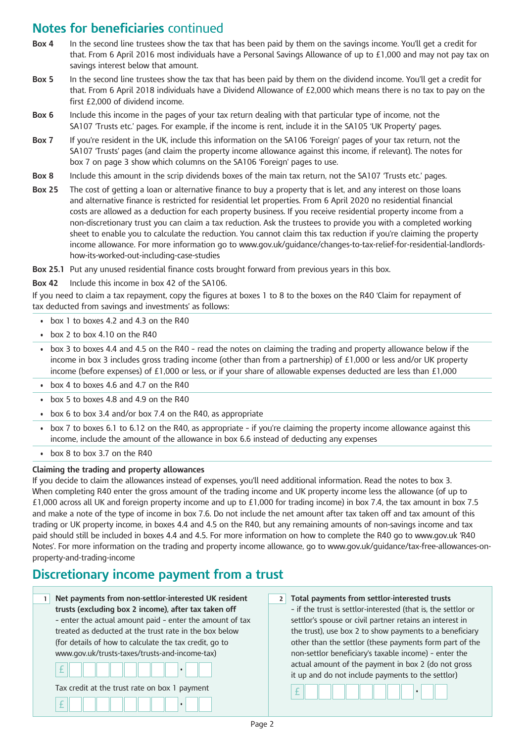## **Notes for beneficiaries** continued

- **Box 4** In the second line trustees show the tax that has been paid by them on the savings income. You'll get a credit for that. From 6 April 2016 most individuals have a Personal Savings Allowance of up to £1,000 and may not pay tax on savings interest below that amount.
- **Box 5** In the second line trustees show the tax that has been paid by them on the dividend income. You'll get a credit for that. From 6 April 2018 individuals have a Dividend Allowance of £2,000 which means there is no tax to pay on the first £2,000 of dividend income.
- **Box 6** Include this income in the pages of your tax return dealing with that particular type of income, not the SA107 'Trusts etc.' pages. For example, if the income is rent, include it in the SA105 'UK Property' pages.
- **Box 7** If you're resident in the UK, include this information on the SA106 'Foreign' pages of your tax return, not the SA107 'Trusts' pages (and claim the property income allowance against this income, if relevant). The notes for box 7 on page 3 show which columns on the SA106 'Foreign' pages to use.
- **Box 8** Include this amount in the scrip dividends boxes of the main tax return, not the SA107 'Trusts etc.' pages.
- **Box 25** The cost of getting a loan or alternative finance to buy a property that is let, and any interest on those loans and alternative finance is restricted for residential let properties. From 6 April 2020 no residential financial costs are allowed as a deduction for each property business. If you receive residential property income from a non-discretionary trust you can claim a tax reduction. Ask the trustees to provide you with a completed working sheet to enable you to calculate the reduction. You cannot claim this tax reduction if you're claiming the property income allowance. For more information go to www.gov.uk/guidance/changes-to-tax-relief-for-residential-landlordshow-its-worked-out-including-case-studies

**Box 25.1** Put any unused residential finance costs brought forward from previous years in this box.

**Box 42** Include this income in box 42 of the SA106.

If you need to claim a tax repayment, copy the figures at boxes 1 to 8 to the boxes on the R40 'Claim for repayment of tax deducted from savings and investments' as follows:

- box 1 to boxes 4.2 and 4.3 on the  $R40$
- $\cdot$  box 2 to box 4.10 on the R40
- box 3 to boxes 4.4 and 4.5 on the R40 read the notes on claiming the trading and property allowance below if the income in box 3 includes gross trading income (other than from a partnership) of £1,000 or less and/or UK property income (before expenses) of £1,000 or less, or if your share of allowable expenses deducted are less than £1,000
- box 4 to boxes 4.6 and 4.7 on the  $R40$
- $\cdot$  box 5 to boxes 4.8 and 4.9 on the R40
- box 6 to box 3.4 and/or box 7.4 on the R40, as appropriate
- • box 7 to boxes 6.1 to 6.12 on the R40, as appropriate if you're claiming the property income allowance against this income, include the amount of the allowance in box 6.6 instead of deducting any expenses
- box  $8$  to box  $3.7$  on the R40

#### **Claiming the trading and property allowances**

If you decide to claim the allowances instead of expenses, you'll need additional information. Read the notes to box 3. When completing R40 enter the gross amount of the trading income and UK property income less the allowance (of up to £1,000 across all UK and foreign property income and up to £1,000 for trading income) in box 7.4, the tax amount in box 7.5 and make a note of the type of income in box 7.6. Do not include the net amount after tax taken off and tax amount of this trading or UK property income, in boxes 4.4 and 4.5 on the R40, but any remaining amounts of non-savings income and tax paid should still be included in boxes 4.4 and 4.5. For more information on how to complete the R40 go to www.gov.uk 'R40 Notes'. For more information on the trading and property income allowance, go to www.gov.uk/guidance/tax-free-allowances-onproperty-and-trading-income

### **Discretionary income payment from a trust**

**1 Net payments from non-settlor-interested UK resident trusts (excluding box 2 income), after tax taken off** – enter the actual amount paid – enter the amount of tax treated as deducted at the trust rate in the box below (for details of how to calculate the tax credit, go to [www.gov.uk/trusts-taxes/trusts-and-income-tax\)](http://www.hmrc.gov.uk/trusts/trustee/responsibilities.htm) £ • Tax credit at the trust rate on box 1 payment £ • **2 Total payments from settlor-interested trusts** – if the trust is settlor-interested (that is, the settlor or settlor's spouse or civil partner retains an interest in the trust), use box 2 to show payments to a beneficiary other than the settlor (these payments form part of the non-settlor beneficiary's taxable income) – enter the actual amount of the payment in box 2 (do not gross it up and do not include payments to the settlor) £ •